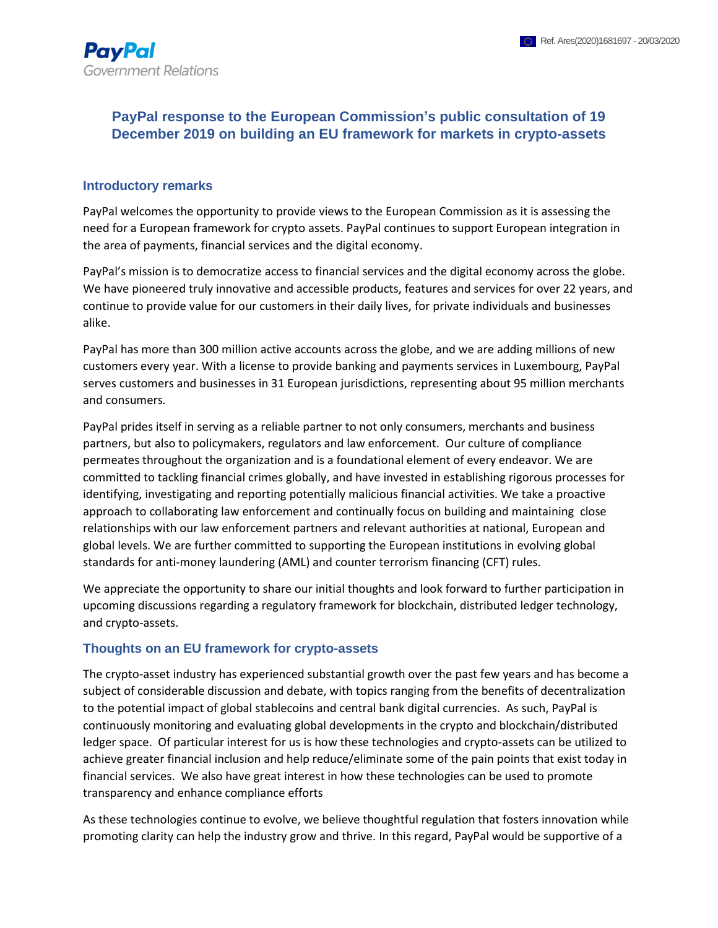## **PayPal response to the European Commission's public consultation of 19 December 2019 on building an EU framework for markets in crypto-assets**

#### **Introductory remarks**

PayPal welcomes the opportunity to provide views to the European Commission as it is assessing the need for a European framework for crypto assets. PayPal continues to support European integration in the area of payments, financial services and the digital economy.

PayPal's mission is to democratize access to financial services and the digital economy across the globe. We have pioneered truly innovative and accessible products, features and services for over 22 years, and continue to provide value for our customers in their daily lives, for private individuals and businesses alike.

PayPal has more than 300 million active accounts across the globe, and we are adding millions of new customers every year. With a license to provide banking and payments services in Luxembourg, PayPal serves customers and businesses in 31 European jurisdictions, representing about 95 million merchants and consumers*.* 

PayPal prides itself in serving as a reliable partner to not only consumers, merchants and business partners, but also to policymakers, regulators and law enforcement. Our culture of compliance permeates throughout the organization and is a foundational element of every endeavor. We are committed to tackling financial crimes globally, and have invested in establishing rigorous processes for identifying, investigating and reporting potentially malicious financial activities. We take a proactive approach to collaborating law enforcement and continually focus on building and maintaining close relationships with our law enforcement partners and relevant authorities at national, European and global levels. We are further committed to supporting the European institutions in evolving global standards for anti-money laundering (AML) and counter terrorism financing (CFT) rules.

We appreciate the opportunity to share our initial thoughts and look forward to further participation in upcoming discussions regarding a regulatory framework for blockchain, distributed ledger technology, and crypto-assets.

#### **Thoughts on an EU framework for crypto-assets**

The crypto-asset industry has experienced substantial growth over the past few years and has become a subject of considerable discussion and debate, with topics ranging from the benefits of decentralization to the potential impact of global stablecoins and central bank digital currencies. As such, PayPal is continuously monitoring and evaluating global developments in the crypto and blockchain/distributed ledger space. Of particular interest for us is how these technologies and crypto-assets can be utilized to achieve greater financial inclusion and help reduce/eliminate some of the pain points that exist today in financial services. We also have great interest in how these technologies can be used to promote transparency and enhance compliance efforts

As these technologies continue to evolve, we believe thoughtful regulation that fosters innovation while promoting clarity can help the industry grow and thrive. In this regard, PayPal would be supportive of a